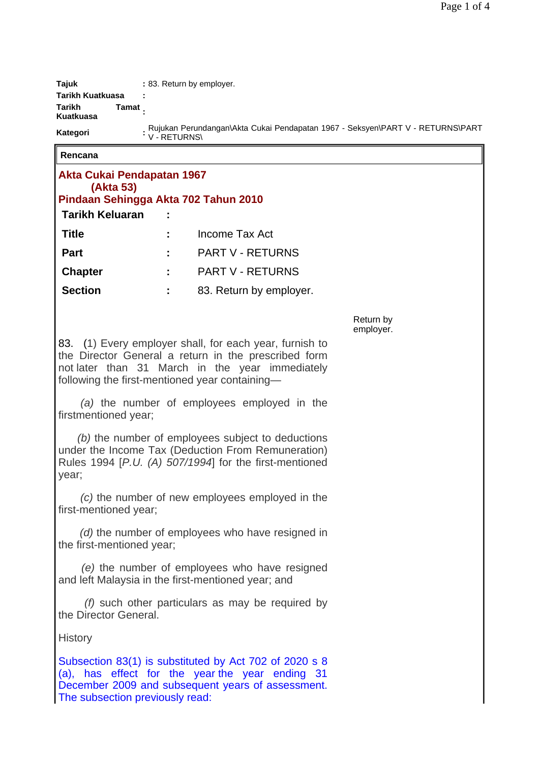| <b>Tajuk</b>        | : 83. Return by employer.                                                                      |
|---------------------|------------------------------------------------------------------------------------------------|
| Tarikh Kuatkuasa    |                                                                                                |
| Tarikh<br>Kuatkuasa | Tamat                                                                                          |
| Kategori            | Rujukan Perundangan\Akta Cukai Pendapatan 1967 - Seksyen\PART V - RETURNS\PART<br>V - RETURNS\ |
| ∣ Rencana           |                                                                                                |

## **Rencana**

| Akta Cukai Pendapatan 1967                                                                                                                                                                                           |  |                         |                        |  |  |
|----------------------------------------------------------------------------------------------------------------------------------------------------------------------------------------------------------------------|--|-------------------------|------------------------|--|--|
| (Akta 53)<br>Pindaan Sehingga Akta 702 Tahun 2010                                                                                                                                                                    |  |                         |                        |  |  |
| <b>Tarikh Keluaran</b>                                                                                                                                                                                               |  |                         |                        |  |  |
| <b>Title</b>                                                                                                                                                                                                         |  | Income Tax Act          |                        |  |  |
| <b>Part</b>                                                                                                                                                                                                          |  | <b>PART V - RETURNS</b> |                        |  |  |
| <b>Chapter</b>                                                                                                                                                                                                       |  | <b>PART V - RETURNS</b> |                        |  |  |
| <b>Section</b>                                                                                                                                                                                                       |  | 83. Return by employer. |                        |  |  |
|                                                                                                                                                                                                                      |  |                         | Return by<br>employer. |  |  |
| 83. (1) Every employer shall, for each year, furnish to<br>the Director General a return in the prescribed form<br>not later than 31 March in the year immediately<br>following the first-mentioned year containing- |  |                         |                        |  |  |
| (a) the number of employees employed in the<br>firstmentioned year;                                                                                                                                                  |  |                         |                        |  |  |
| (b) the number of employees subject to deductions<br>under the Income Tax (Deduction From Remuneration)<br>Rules 1994 [P.U. (A) 507/1994] for the first-mentioned<br>year;                                           |  |                         |                        |  |  |
| (c) the number of new employees employed in the<br>first-mentioned year;                                                                                                                                             |  |                         |                        |  |  |
| (d) the number of employees who have resigned in<br>the first-mentioned year;                                                                                                                                        |  |                         |                        |  |  |
| (e) the number of employees who have resigned<br>and left Malaysia in the first-mentioned year; and                                                                                                                  |  |                         |                        |  |  |
| $(f)$ such other particulars as may be required by<br>the Director General.                                                                                                                                          |  |                         |                        |  |  |
| <b>History</b>                                                                                                                                                                                                       |  |                         |                        |  |  |
| Subsection 83(1) is substituted by Act 702 of 2020 s 8<br>(a), has effect for the year the year ending 31<br>December 2009 and subsequent years of assessment.<br>The subsection previously read:                    |  |                         |                        |  |  |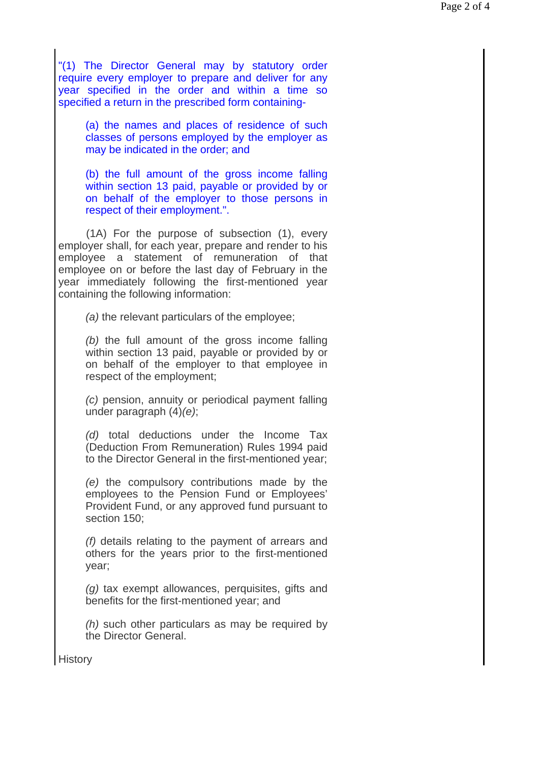"(1) The Director General may by statutory order require every employer to prepare and deliver for any year specified in the order and within a time so specified a return in the prescribed form containing-

> (a) the names and places of residence of such classes of persons employed by the employer as may be indicated in the order; and

> (b) the full amount of the gross income falling within section 13 paid, payable or provided by or on behalf of the employer to those persons in respect of their employment.".

 (1A) For the purpose of subsection (1), every employer shall, for each year, prepare and render to his employee a statement of remuneration of that employee on or before the last day of February in the year immediately following the first-mentioned year containing the following information:

*(a)* the relevant particulars of the employee;

*(b)* the full amount of the gross income falling within section 13 paid, payable or provided by or on behalf of the employer to that employee in respect of the employment;

*(c)* pension, annuity or periodical payment falling under paragraph (4)*(e)*;

*(d)* total deductions under the Income Tax (Deduction From Remuneration) Rules 1994 paid to the Director General in the first-mentioned year;

*(e)* the compulsory contributions made by the employees to the Pension Fund or Employees' Provident Fund, or any approved fund pursuant to section 150;

*(f)* details relating to the payment of arrears and others for the years prior to the first-mentioned year;

*(g)* tax exempt allowances, perquisites, gifts and benefits for the first-mentioned year; and

*(h)* such other particulars as may be required by the Director General.

**History**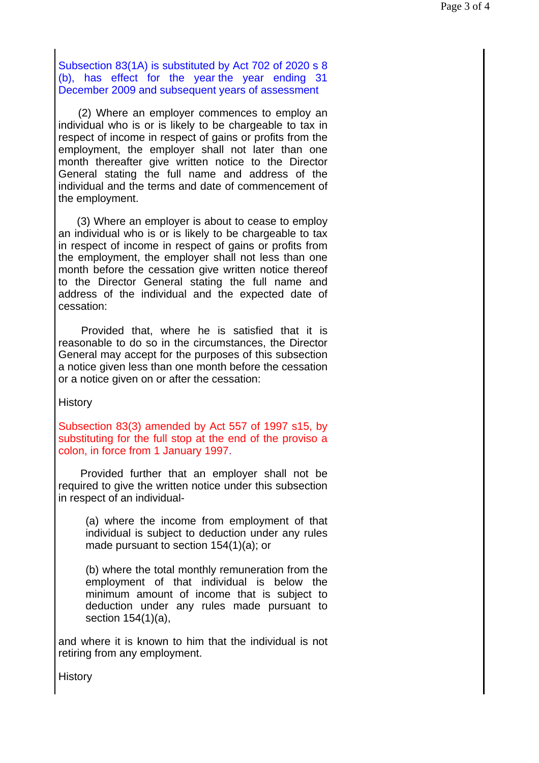Subsection 83(1A) is substituted by Act 702 of 2020 s 8 (b), has effect for the year the year ending 31 December 2009 and subsequent years of assessment

 (2) Where an employer commences to employ an individual who is or is likely to be chargeable to tax in respect of income in respect of gains or profits from the employment, the employer shall not later than one month thereafter give written notice to the Director General stating the full name and address of the individual and the terms and date of commencement of the employment.

 (3) Where an employer is about to cease to employ an individual who is or is likely to be chargeable to tax in respect of income in respect of gains or profits from the employment, the employer shall not less than one month before the cessation give written notice thereof to the Director General stating the full name and address of the individual and the expected date of cessation:

 Provided that, where he is satisfied that it is reasonable to do so in the circumstances, the Director General may accept for the purposes of this subsection a notice given less than one month before the cessation or a notice given on or after the cessation:

**History** 

Subsection 83(3) amended by Act 557 of 1997 s15, by substituting for the full stop at the end of the proviso a colon, in force from 1 January 1997.

 Provided further that an employer shall not be required to give the written notice under this subsection in respect of an individual-

(a) where the income from employment of that individual is subject to deduction under any rules made pursuant to section 154(1)(a); or

(b) where the total monthly remuneration from the employment of that individual is below the minimum amount of income that is subject to deduction under any rules made pursuant to section 154(1)(a),

and where it is known to him that the individual is not retiring from any employment.

**History**